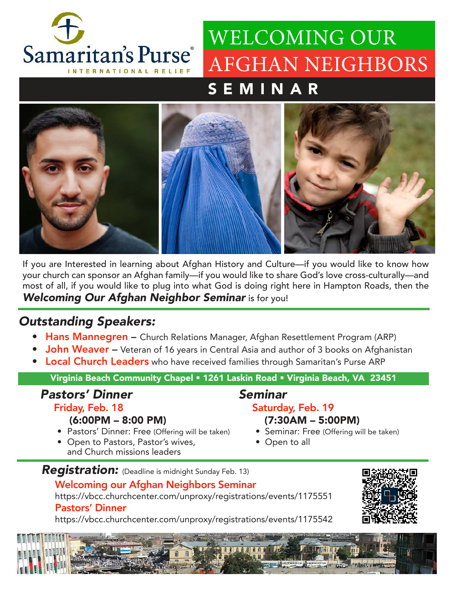

# WELCOMING OUR AFGHAN NEIGHBORS

## SEMINAR



If you are Interested in learning about Afghan History and Culture—if you would like to know how your church can sponsor an Afghan family—if you would like to share God's love cross-culturally—and most of all, if you would like to plug into what God is doing right here in Hampton Roads, then the Welcoming Our Afghan Neighbor Seminar is for you!

### Outstanding Speakers:

- Hans Mannegren Church Relations Manager, Afghan Resettlement Program (ARP)
- **John Weaver** Veteran of 16 years in Central Asia and author of 3 books on Afghanistan
- **Local Church Leaders** who have received families through Samaritan's Purse ARP

Virginia Beach Community Chapel • 1261 Laskin Road • Virginia Beach, VA 23451

#### Pastors' Dinner Friday, Feb. 18

#### Seminar Saturday, Feb. 19

- (6:00PM 8:00 PM) • Pastors' Dinner: Free (Offering will be taken)
- Open to Pastors, Pastor's wives, and Church missions leaders
- (7:30AM 5:00PM) • Seminar: Free (Offering will be taken)
- Open to all

#### Registration: (Deadline is midnight Sunday Feb. 13)

#### Welcoming our Afghan Neighbors Seminar

https://vbcc.churchcenter.com/unproxy/registrations/events/1175551

#### Pastors' Dinner

https://vbcc.churchcenter.com/unproxy/registrations/events/1175542